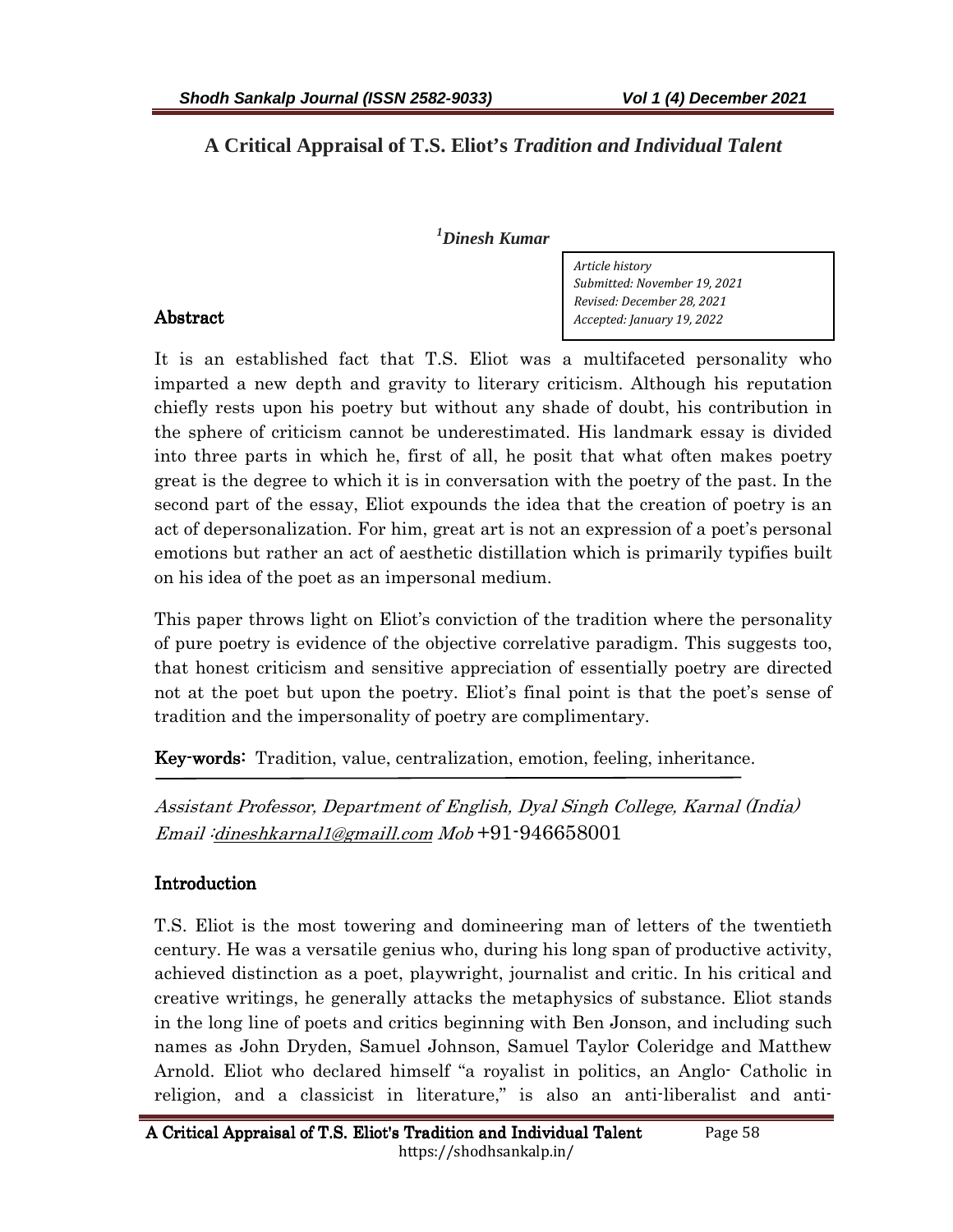# **A Critical Appraisal of T.S. Eliot's** *Tradition and Individual Talent*

#### *<sup>1</sup>Dinesh Kumar*

*Article history Submitted: November 19, 2021 Revised: December 28, 2021 Accepted: January 19, 2022* 

It is an established fact that T.S. Eliot was a multifaceted personality who imparted a new depth and gravity to literary criticism. Although his reputation chiefly rests upon his poetry but without any shade of doubt, his contribution in the sphere of criticism cannot be underestimated. His landmark essay is divided into three parts in which he, first of all, he posit that what often makes poetry great is the degree to which it is in conversation with the poetry of the past. In the second part of the essay, Eliot expounds the idea that the creation of poetry is an act of depersonalization. For him, great art is not an expression of a poet's personal emotions but rather an act of aesthetic distillation which is primarily typifies built on his idea of the poet as an impersonal medium.

This paper throws light on Eliot's conviction of the tradition where the personality of pure poetry is evidence of the objective correlative paradigm. This suggests too, that honest criticism and sensitive appreciation of essentially poetry are directed not at the poet but upon the poetry. Eliot's final point is that the poet's sense of tradition and the impersonality of poetry are complimentary.

Key-words: Tradition, value, centralization, emotion, feeling, inheritance.

Assistant Professor, Department of English, Dyal Singh College, Karnal (India) Email :dineshkarnal1@gmaill.com Mob +91-946658001

## Introduction

T.S. Eliot is the most towering and domineering man of letters of the twentieth century. He was a versatile genius who, during his long span of productive activity, achieved distinction as a poet, playwright, journalist and critic. In his critical and creative writings, he generally attacks the metaphysics of substance. Eliot stands in the long line of poets and critics beginning with Ben Jonson, and including such names as John Dryden, Samuel Johnson, Samuel Taylor Coleridge and Matthew Arnold. Eliot who declared himself "a royalist in politics, an Anglo- Catholic in religion, and a classicist in literature," is also an anti-liberalist and anti-

#### Abstract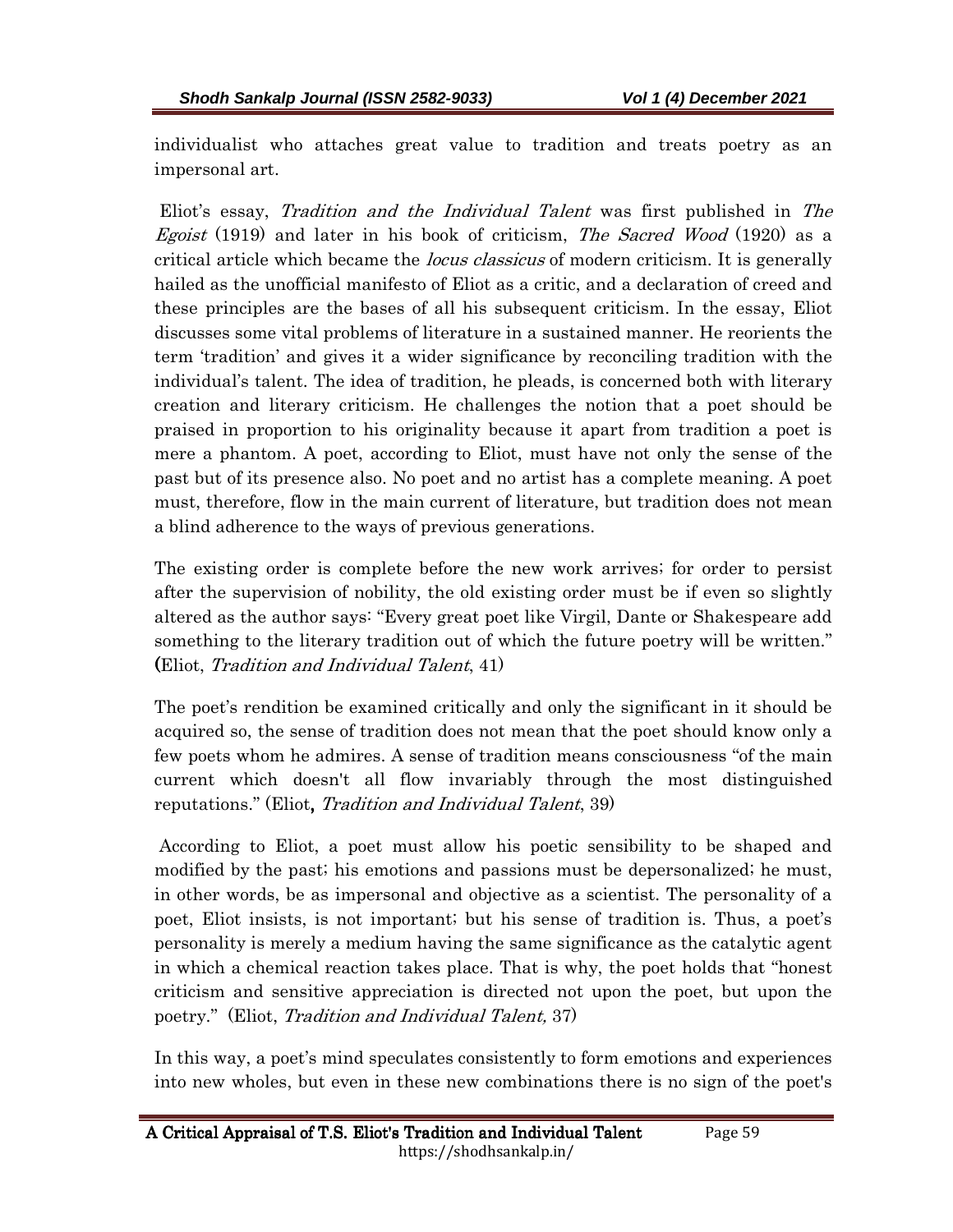individualist who attaches great value to tradition and treats poetry as an impersonal art.

 Eliot's essay, Tradition and the Individual Talent was first published in The Egoist (1919) and later in his book of criticism, The Sacred Wood (1920) as a critical article which became the *locus classicus* of modern criticism. It is generally hailed as the unofficial manifesto of Eliot as a critic, and a declaration of creed and these principles are the bases of all his subsequent criticism. In the essay, Eliot discusses some vital problems of literature in a sustained manner. He reorients the term 'tradition' and gives it a wider significance by reconciling tradition with the individual's talent. The idea of tradition, he pleads, is concerned both with literary creation and literary criticism. He challenges the notion that a poet should be praised in proportion to his originality because it apart from tradition a poet is mere a phantom. A poet, according to Eliot, must have not only the sense of the past but of its presence also. No poet and no artist has a complete meaning. A poet must, therefore, flow in the main current of literature, but tradition does not mean a blind adherence to the ways of previous generations.

The existing order is complete before the new work arrives; for order to persist after the supervision of nobility, the old existing order must be if even so slightly altered as the author says: "Every great poet like Virgil, Dante or Shakespeare add something to the literary tradition out of which the future poetry will be written." (Eliot, *Tradition and Individual Talent*, 41)

The poet's rendition be examined critically and only the significant in it should be acquired so, the sense of tradition does not mean that the poet should know only a few poets whom he admires. A sense of tradition means consciousness "of the main current which doesn't all flow invariably through the most distinguished reputations." (Eliot, Tradition and Individual Talent, 39)

 According to Eliot, a poet must allow his poetic sensibility to be shaped and modified by the past; his emotions and passions must be depersonalized; he must, in other words, be as impersonal and objective as a scientist. The personality of a poet, Eliot insists, is not important; but his sense of tradition is. Thus, a poet's personality is merely a medium having the same significance as the catalytic agent in which a chemical reaction takes place. That is why, the poet holds that "honest criticism and sensitive appreciation is directed not upon the poet, but upon the poetry." (Eliot, Tradition and Individual Talent, 37)

In this way, a poet's mind speculates consistently to form emotions and experiences into new wholes, but even in these new combinations there is no sign of the poet's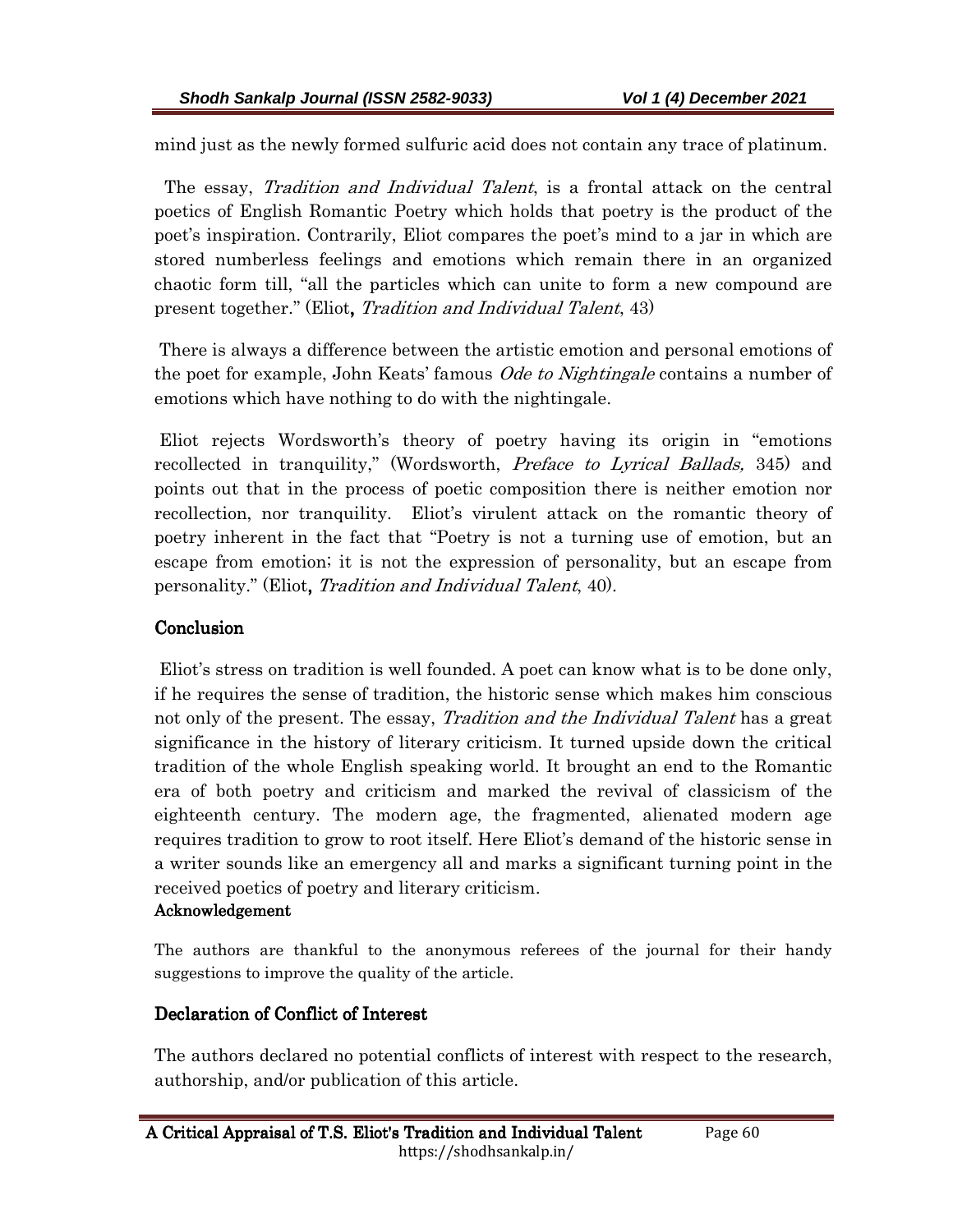mind just as the newly formed sulfuric acid does not contain any trace of platinum.

The essay, *Tradition and Individual Talent*, is a frontal attack on the central poetics of English Romantic Poetry which holds that poetry is the product of the poet's inspiration. Contrarily, Eliot compares the poet's mind to a jar in which are stored numberless feelings and emotions which remain there in an organized chaotic form till, "all the particles which can unite to form a new compound are present together." (Eliot, Tradition and Individual Talent, 43)

 There is always a difference between the artistic emotion and personal emotions of the poet for example, John Keats' famous *Ode to Nightingale* contains a number of emotions which have nothing to do with the nightingale.

 Eliot rejects Wordsworth's theory of poetry having its origin in "emotions recollected in tranquility," (Wordsworth, Preface to Lyrical Ballads, 345) and points out that in the process of poetic composition there is neither emotion nor recollection, nor tranquility. Eliot's virulent attack on the romantic theory of poetry inherent in the fact that "Poetry is not a turning use of emotion, but an escape from emotion; it is not the expression of personality, but an escape from personality." (Eliot, Tradition and Individual Talent, 40).

## **Conclusion**

 Eliot's stress on tradition is well founded. A poet can know what is to be done only, if he requires the sense of tradition, the historic sense which makes him conscious not only of the present. The essay, *Tradition and the Individual Talent* has a great significance in the history of literary criticism. It turned upside down the critical tradition of the whole English speaking world. It brought an end to the Romantic era of both poetry and criticism and marked the revival of classicism of the eighteenth century. The modern age, the fragmented, alienated modern age requires tradition to grow to root itself. Here Eliot's demand of the historic sense in a writer sounds like an emergency all and marks a significant turning point in the received poetics of poetry and literary criticism.

#### Acknowledgement

The authors are thankful to the anonymous referees of the journal for their handy suggestions to improve the quality of the article.

## Declaration of Conflict of Interest

The authors declared no potential conflicts of interest with respect to the research, authorship, and/or publication of this article.